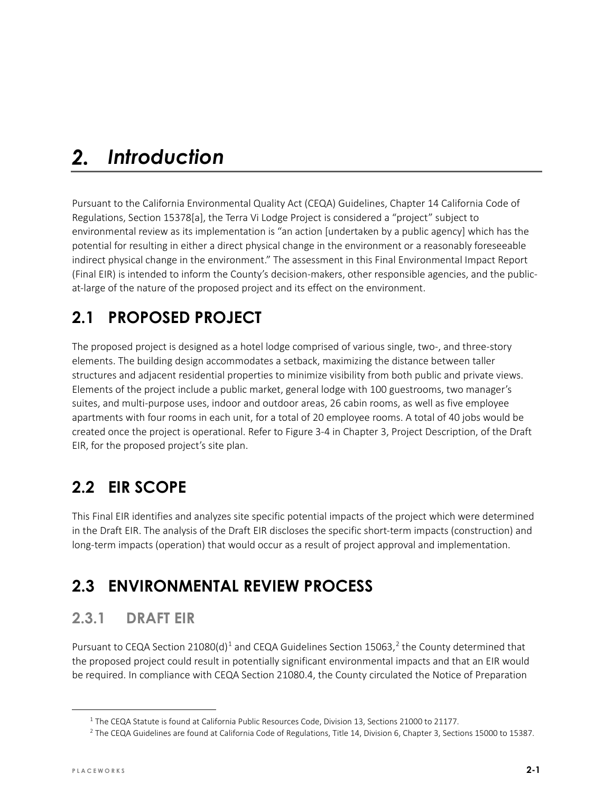#### $2.$ *Introduction*

Pursuant to the California Environmental Quality Act (CEQA) Guidelines, Chapter 14 California Code of Regulations, Section 15378[a], the Terra Vi Lodge Project is considered a "project" subject to environmental review as its implementation is "an action [undertaken by a public agency] which has the potential for resulting in either a direct physical change in the environment or a reasonably foreseeable indirect physical change in the environment." The assessment in this Final Environmental Impact Report (Final EIR) is intended to inform the County's decision-makers, other responsible agencies, and the publicat-large of the nature of the proposed project and its effect on the environment.

# **2.1 PROPOSED PROJECT**

The proposed project is designed as a hotel lodge comprised of various single, two-, and three-story elements. The building design accommodates a setback, maximizing the distance between taller structures and adjacent residential properties to minimize visibility from both public and private views. Elements of the project include a public market, general lodge with 100 guestrooms, two manager's suites, and multi-purpose uses, indoor and outdoor areas, 26 cabin rooms, as well as five employee apartments with four rooms in each unit, for a total of 20 employee rooms. A total of 40 jobs would be created once the project is operational. Refer to Figure 3-4 in Chapter 3, Project Description, of the Draft EIR, for the proposed project's site plan.

# **2.2 EIR SCOPE**

This Final EIR identifies and analyzes site specific potential impacts of the project which were determined in the Draft EIR. The analysis of the Draft EIR discloses the specific short-term impacts (construction) and long-term impacts (operation) that would occur as a result of project approval and implementation.

# **2.3 ENVIRONMENTAL REVIEW PROCESS**

### **2.3.1 DRAFT EIR**

Pursuant to CEQA Section 2[1](#page-0-0)080(d)<sup>1</sup> and CEQA Guidelines Section 15063,<sup>[2](#page-0-1)</sup> the County determined that the proposed project could result in potentially significant environmental impacts and that an EIR would be required. In compliance with CEQA Section 21080.4, the County circulated the Notice of Preparation

<sup>&</sup>lt;sup>1</sup> The CEQA Statute is found at California Public Resources Code, Division 13, Sections 21000 to 21177.

<span id="page-0-1"></span><span id="page-0-0"></span><sup>&</sup>lt;sup>2</sup> The CEQA Guidelines are found at California Code of Regulations, Title 14, Division 6, Chapter 3, Sections 15000 to 15387.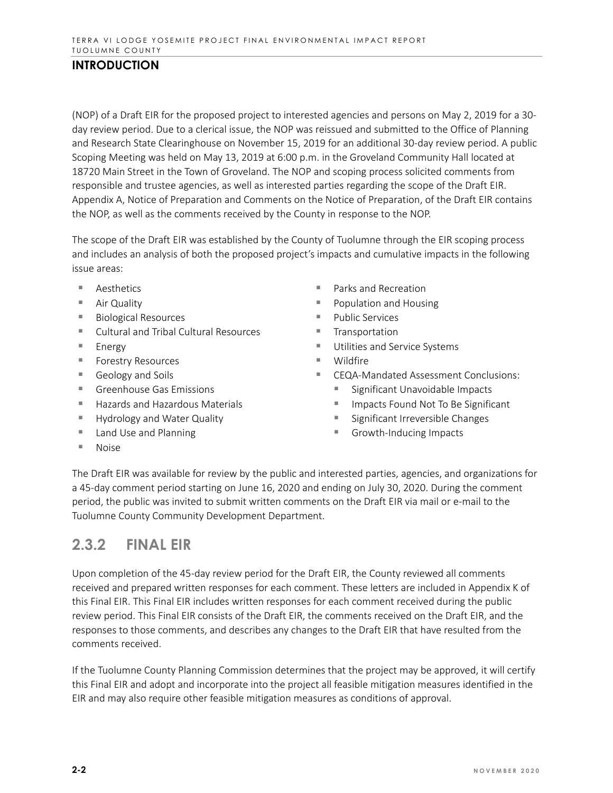#### **INTRODUCTION**

(NOP) of a Draft EIR for the proposed project to interested agencies and persons on May 2, 2019 for a 30 day review period. Due to a clerical issue, the NOP was reissued and submitted to the Office of Planning and Research State Clearinghouse on November 15, 2019 for an additional 30-day review period. A public Scoping Meeting was held on May 13, 2019 at 6:00 p.m. in the Groveland Community Hall located at 18720 Main Street in the Town of Groveland. The NOP and scoping process solicited comments from responsible and trustee agencies, as well as interested parties regarding the scope of the Draft EIR. Appendix A, Notice of Preparation and Comments on the Notice of Preparation, of the Draft EIR contains the NOP, as well as the comments received by the County in response to the NOP.

The scope of the Draft EIR was established by the County of Tuolumne through the EIR scoping process and includes an analysis of both the proposed project's impacts and cumulative impacts in the following issue areas:

- Aesthetics
- Air Quality
- Biological Resources
- Cultural and Tribal Cultural Resources
- $Energv$
- **Forestry Resources**
- Geology and Soils
- Greenhouse Gas Emissions
- $H$  Hazards and Hazardous Materials
- Hydrology and Water Quality
- Land Use and Planning
- Parks and Recreation
- **Population and Housing**
- $\blacksquare$  Public Services
- **Transportation**
- **Utilities and Service Systems**
- Wildfire
- CEQA-Mandated Assessment Conclusions:
	- **Significant Unavoidable Impacts**
	- Impacts Found Not To Be Significant
	- **Significant Irreversible Changes**
	- Growth-Inducing Impacts

■ Noise

The Draft EIR was available for review by the public and interested parties, agencies, and organizations for a 45-day comment period starting on June 16, 2020 and ending on July 30, 2020. During the comment period, the public was invited to submit written comments on the Draft EIR via mail or e-mail to the Tuolumne County Community Development Department.

### **2.3.2 FINAL EIR**

Upon completion of the 45-day review period for the Draft EIR, the County reviewed all comments received and prepared written responses for each comment. These letters are included in Appendix K of this Final EIR. This Final EIR includes written responses for each comment received during the public review period. This Final EIR consists of the Draft EIR, the comments received on the Draft EIR, and the responses to those comments, and describes any changes to the Draft EIR that have resulted from the comments received.

If the Tuolumne County Planning Commission determines that the project may be approved, it will certify this Final EIR and adopt and incorporate into the project all feasible mitigation measures identified in the EIR and may also require other feasible mitigation measures as conditions of approval.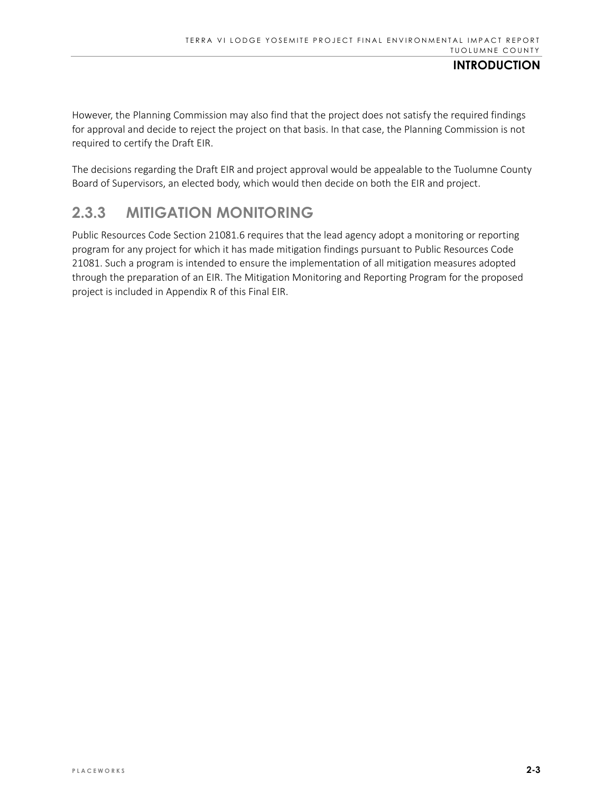#### **INTRODUCTION**

However, the Planning Commission may also find that the project does not satisfy the required findings for approval and decide to reject the project on that basis. In that case, the Planning Commission is not required to certify the Draft EIR.

The decisions regarding the Draft EIR and project approval would be appealable to the Tuolumne County Board of Supervisors, an elected body, which would then decide on both the EIR and project.

### **2.3.3 MITIGATION MONITORING**

Public Resources Code Section 21081.6 requires that the lead agency adopt a monitoring or reporting program for any project for which it has made mitigation findings pursuant to Public Resources Code 21081. Such a program is intended to ensure the implementation of all mitigation measures adopted through the preparation of an EIR. The Mitigation Monitoring and Reporting Program for the proposed project is included in Appendix R of this Final EIR.